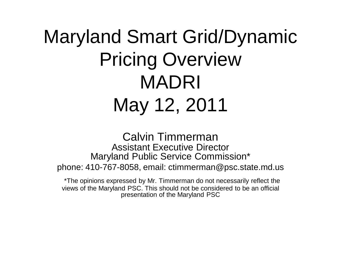## Maryland Smart Grid/Dynamic Pricing Overview MADRI May 12, 2011

Calvin Timmerman Assistant Executive Director Maryland Public Service Commission\* phone: 410-767-8058, email: ctimmerman@psc.state.md.us

\*The opinions expressed by Mr. Timmerman do not necessarily reflect the views of the Maryland PSC. This should not be considered to be an official presentation of the Maryland PSC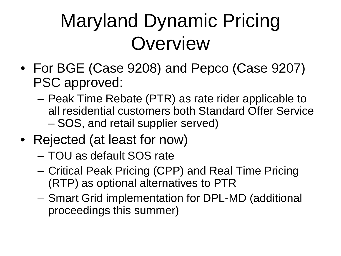## Maryland Dynamic Pricing **Overview**

- For BGE (Case 9208) and Pepco (Case 9207) PSC approved:
	- Peak Time Rebate (PTR) as rate rider applicable to all residential customers both Standard Offer Service – SOS, and retail supplier served)
- Rejected (at least for now)
	- TOU as default SOS rate
	- Critical Peak Pricing (CPP) and Real Time Pricing (RTP) as optional alternatives to PTR
	- Smart Grid implementation for DPL-MD (additional proceedings this summer)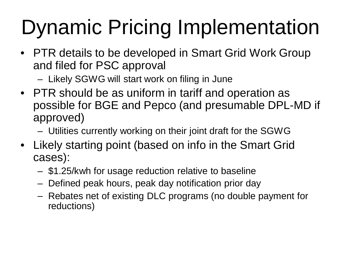## Dynamic Pricing Implementation

- PTR details to be developed in Smart Grid Work Group and filed for PSC approval
	- Likely SGWG will start work on filing in June
- PTR should be as uniform in tariff and operation as possible for BGE and Pepco (and presumable DPL-MD if approved)
	- Utilities currently working on their joint draft for the SGWG
- Likely starting point (based on info in the Smart Grid cases):
	- \$1.25/kwh for usage reduction relative to baseline
	- Defined peak hours, peak day notification prior day
	- Rebates net of existing DLC programs (no double payment for reductions)